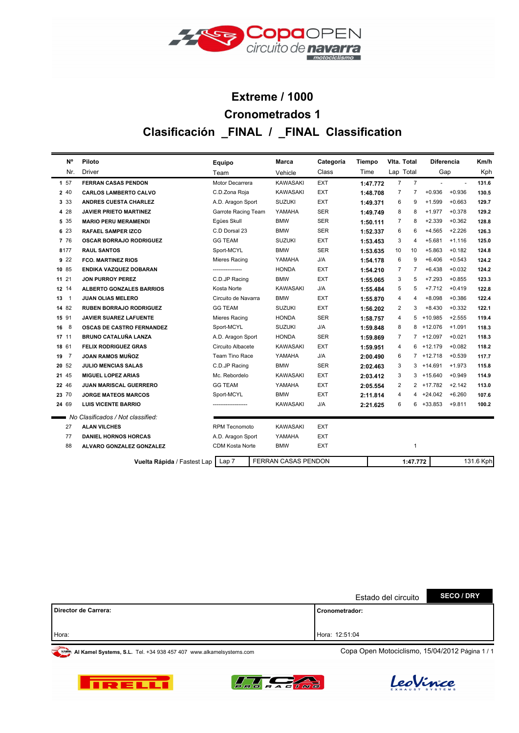

# **Clasificación \_FINAL / \_FINAL Classification Cronometrados 1 Extreme / 1000**

| <b>N°</b>            | Piloto                            | Equipo                | Marca                      | Categoría  | <b>Tiempo</b> | Vita. Total             |                | Diferencia   |           | Km/h  |  |
|----------------------|-----------------------------------|-----------------------|----------------------------|------------|---------------|-------------------------|----------------|--------------|-----------|-------|--|
| Nr.                  | <b>Driver</b>                     | Team                  | Vehicle                    | Class      | Time          | Lap Total               |                | Gap          |           | Kph   |  |
| 157                  | <b>FERRAN CASAS PENDON</b>        | Motor Decarrera       | <b>KAWASAKI</b>            | <b>EXT</b> | 1:47.772      | $\overline{7}$          | $\overline{7}$ |              | $\sim$    | 131.6 |  |
| 2 40                 | <b>CARLOS LAMBERTO CALVO</b>      | C.D.Zona Roja         | <b>KAWASAKI</b>            | EXT        | 1:48.708      | $\overline{7}$          | $\overline{7}$ | $+0.936$     | $+0.936$  | 130.5 |  |
| 3 3 3                | <b>ANDRES CUESTA CHARLEZ</b>      | A.D. Aragon Sport     | <b>SUZUKI</b>              | EXT        | 1:49.371      | 6                       | 9              | $+1.599$     | $+0.663$  | 129.7 |  |
| 4 28                 | <b>JAVIER PRIETO MARTINEZ</b>     | Garrote Racing Team   | YAMAHA                     | <b>SER</b> | 1:49.749      | 8                       | 8              | $+1.977$     | $+0.378$  | 129.2 |  |
| 5 35                 | <b>MARIO PERU MERAMENDI</b>       | Eqües Skull           | <b>BMW</b>                 | <b>SER</b> | 1:50.111      | $\overline{7}$          | 8              | $+2.339$     | $+0.362$  | 128.8 |  |
| 6 23                 | <b>RAFAEL SAMPER IZCO</b>         | C.D Dorsal 23         | <b>BMW</b>                 | <b>SER</b> | 1:52.337      | 6                       | 6              | $+4.565$     | $+2.226$  | 126.3 |  |
| 7 76                 | <b>OSCAR BORRAJO RODRIGUEZ</b>    | <b>GG TEAM</b>        | <b>SUZUKI</b>              | <b>EXT</b> | 1:53.453      | 3                       | $\overline{4}$ | $+5.681$     | $+1.116$  | 125.0 |  |
| 8177                 | <b>RAUL SANTOS</b>                | Sport-MCYL            | <b>BMW</b>                 | <b>SER</b> | 1:53.635      | 10                      | 10             | $+5.863$     | $+0.182$  | 124.8 |  |
| 922                  | <b>FCO. MARTINEZ RIOS</b>         | Mieres Racing         | YAMAHA                     | J/A        | 1:54.178      | 6                       | 9              | $+6.406$     | $+0.543$  | 124.2 |  |
| 10 85                | ENDIKA VAZQUEZ DOBARAN            | ----------------      | <b>HONDA</b>               | EXT        | 1:54.210      | $\overline{7}$          | $\overline{7}$ | $+6.438$     | $+0.032$  | 124.2 |  |
| 11 21                | <b>JON PURROY PEREZ</b>           | C.D.JP Racing         | <b>BMW</b>                 | EXT        | 1:55.065      | 3                       | 5              | $+7.293$     | $+0.855$  | 123.3 |  |
| 12 14                | <b>ALBERTO GONZALES BARRIOS</b>   | Kosta Norte           | <b>KAWASAKI</b>            | J/A        | 1:55.484      | 5                       | 5              | $+7.712$     | $+0.419$  | 122.8 |  |
| 13<br>$\overline{1}$ | <b>JUAN OLIAS MELERO</b>          | Circuito de Navarra   | <b>BMW</b>                 | <b>EXT</b> | 1:55.870      | 4                       | $\overline{4}$ | $+8.098$     | $+0.386$  | 122.4 |  |
| 14 82                | <b>RUBEN BORRAJO RODRIGUEZ</b>    | <b>GG TEAM</b>        | <b>SUZUKI</b>              | <b>EXT</b> | 1:56.202      | $\overline{\mathbf{c}}$ | 3              | $+8.430$     | $+0.332$  | 122.1 |  |
| 15 91                | <b>JAVIER SUAREZ LAFUENTE</b>     | Mieres Racing         | <b>HONDA</b>               | <b>SER</b> | 1:58.757      | 4                       | 5              | $+10.985$    | $+2.555$  | 119.4 |  |
| 16 8                 | <b>OSCAS DE CASTRO FERNANDEZ</b>  | Sport-MCYL            | <b>SUZUKI</b>              | J/A        | 1:59.848      | 8                       | 8              | +12.076      | $+1.091$  | 118.3 |  |
| 17 11                | <b>BRUNO CATALUÑA LANZA</b>       | A.D. Aragon Sport     | <b>HONDA</b>               | <b>SER</b> | 1:59.869      | $\overline{7}$          | $\overline{7}$ | $+12.097$    | $+0.021$  | 118.3 |  |
| 18 61                | <b>FELIX RODRIGUEZ GRAS</b>       | Circuito Albacete     | <b>KAWASAKI</b>            | EXT        | 1:59.951      | 4                       | 6              | $+12.179$    | $+0.082$  | 118.2 |  |
| 19 7                 | JOAN RAMOS MUÑOZ                  | <b>Team Tino Race</b> | YAMAHA                     | J/A        | 2:00.490      | 6                       | $\overline{7}$ | $+12.718$    | $+0.539$  | 117.7 |  |
| 20 52                | <b>JULIO MENCIAS SALAS</b>        | C.D.JP Racing         | <b>BMW</b>                 | <b>SER</b> | 2:02.463      | 3                       | 3              | $+14.691$    | $+1.973$  | 115.8 |  |
| 21 45                | <b>MIGUEL LOPEZ ARIAS</b>         | Mc. Rebordelo         | <b>KAWASAKI</b>            | <b>EXT</b> | 2:03.412      | 3                       |                | $3 + 15.640$ | $+0.949$  | 114.9 |  |
| 22 46                | <b>JUAN MARISCAL GUERRERO</b>     | <b>GG TEAM</b>        | YAMAHA                     | <b>EXT</b> | 2:05.554      | 2                       | $\overline{2}$ | +17.782      | $+2.142$  | 113.0 |  |
| 23 70                | <b>JORGE MATEOS MARCOS</b>        | Sport-MCYL            | <b>BMW</b>                 | <b>EXT</b> | 2:11.814      | 4                       | 4              | $+24.042$    | $+6.260$  | 107.6 |  |
| 24 69                | <b>LUIS VICENTE BARRIO</b>        |                       | <b>KAWASAKI</b>            | J/A        | 2:21.625      | 6                       | 6              | +33.853      | $+9.811$  | 100.2 |  |
|                      | No Clasificados / Not classified: |                       |                            |            |               |                         |                |              |           |       |  |
| 27                   | <b>ALAN VILCHES</b>               | <b>RPM Tecnomoto</b>  | <b>KAWASAKI</b>            | <b>EXT</b> |               |                         |                |              |           |       |  |
| 77                   | <b>DANIEL HORNOS HORCAS</b>       | A.D. Aragon Sport     | YAMAHA                     | <b>EXT</b> |               |                         |                |              |           |       |  |
| 88                   | ALVARO GONZALEZ GONZALEZ          | CDM Kosta Norte       | <b>BMW</b>                 | <b>EXT</b> |               |                         | $\mathbf{1}$   |              |           |       |  |
|                      |                                   |                       | <b>FERRAN CASAS PENDON</b> |            |               |                         |                |              |           |       |  |
|                      | Vuelta Rápida / Fastest Lap       | Lap <sub>7</sub>      |                            |            |               |                         | 1:47.772       |              | 131.6 Kph |       |  |

|                      | Estado del circuito | <b>SECO / DRY</b> |
|----------------------|---------------------|-------------------|
| Director de Carrera: | l Cronometrador:    |                   |
|                      |                     |                   |
| Hora:                | Hora: 12:51:04      |                   |





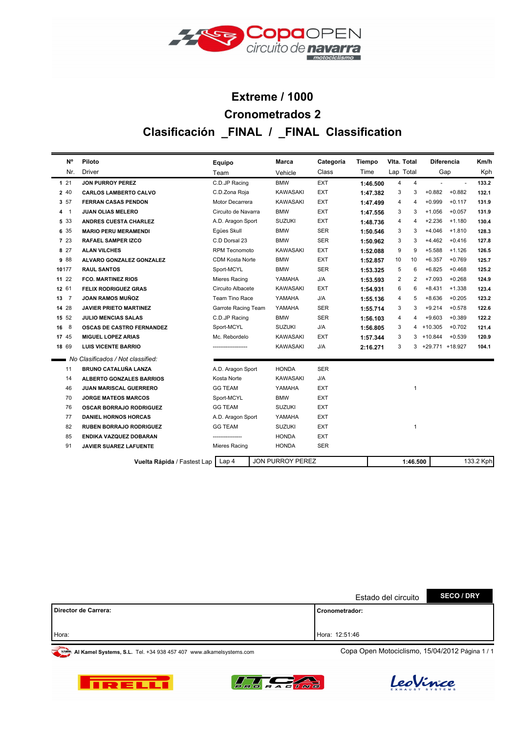

# **Clasificación \_FINAL / \_FINAL Classification Cronometrados 2 Extreme / 1000**

| N°           | Piloto                            | Equipo                 | Marca                   | Categoría  | <b>Tiempo</b> | Vita. Total |          | <b>Diferencia</b> |                          | Km/h      |
|--------------|-----------------------------------|------------------------|-------------------------|------------|---------------|-------------|----------|-------------------|--------------------------|-----------|
| Nr.          | <b>Driver</b>                     | Team                   | Vehicle                 | Class      | Time          | Lap Total   |          | Gap               |                          | Kph       |
| 121          | <b>JON PURROY PEREZ</b>           | C.D.JP Racing          | <b>BMW</b>              | <b>EXT</b> | 1:46.500      | 4           | 4        |                   | $\overline{\phantom{a}}$ | 133.2     |
| 2 40         | <b>CARLOS LAMBERTO CALVO</b>      | C.D.Zona Roja          | <b>KAWASAKI</b>         | <b>EXT</b> | 1:47.382      | 3           | 3        | $+0.882$          | $+0.882$                 | 132.1     |
| 3 57         | <b>FERRAN CASAS PENDON</b>        | Motor Decarrera        | <b>KAWASAKI</b>         | EXT        | 1:47.499      | 4           | 4        | $+0.999$          | $+0.117$                 | 131.9     |
| 4 1          | <b>JUAN OLIAS MELERO</b>          | Circuito de Navarra    | <b>BMW</b>              | <b>EXT</b> | 1:47.556      | 3           | 3        | $+1.056$          | $+0.057$                 | 131.9     |
| 5 3 3        | <b>ANDRES CUESTA CHARLEZ</b>      | A.D. Aragon Sport      | <b>SUZUKI</b>           | <b>EXT</b> | 1:48.736      | 4           | 4        | $+2.236$          | $+1.180$                 | 130.4     |
| 6 35         | <b>MARIO PERU MERAMENDI</b>       | Eqües Skull            | <b>BMW</b>              | <b>SER</b> | 1:50.546      | 3           | 3        | $+4.046$          | $+1.810$                 | 128.3     |
| 7 23         | <b>RAFAEL SAMPER IZCO</b>         | C.D Dorsal 23          | <b>BMW</b>              | <b>SER</b> | 1:50.962      | 3           | 3        | $+4.462$          | $+0.416$                 | 127.8     |
| 8 27         | <b>ALAN VILCHES</b>               | <b>RPM Tecnomoto</b>   | <b>KAWASAKI</b>         | <b>EXT</b> | 1:52.088      | 9           | 9        | $+5.588$          | $+1.126$                 | 126.5     |
| 9 8 8        | ALVARO GONZALEZ GONZALEZ          | <b>CDM Kosta Norte</b> | <b>BMW</b>              | EXT        | 1:52.857      | 10          | 10       | $+6.357$          | $+0.769$                 | 125.7     |
| 10177        | <b>RAUL SANTOS</b>                | Sport-MCYL             | <b>BMW</b>              | <b>SER</b> | 1:53.325      | 5           | 6        | $+6.825$          | $+0.468$                 | 125.2     |
| 11 22        | <b>FCO. MARTINEZ RIOS</b>         | Mieres Racing          | YAMAHA                  | J/A        | 1:53.593      | 2           | 2        | $+7.093$          | $+0.268$                 | 124.9     |
| 12 61        | <b>FELIX RODRIGUEZ GRAS</b>       | Circuito Albacete      | KAWASAKI                | <b>EXT</b> | 1:54.931      | 6           | 6        | $+8.431$          | $+1.338$                 | 123.4     |
| $13 \quad 7$ | JOAN RAMOS MUÑOZ                  | Team Tino Race         | YAMAHA                  | J/A        | 1:55.136      | 4           | 5        | $+8.636$          | $+0.205$                 | 123.2     |
| 14 28        | <b>JAVIER PRIETO MARTINEZ</b>     | Garrote Racing Team    | YAMAHA                  | <b>SER</b> | 1:55.714      | 3           | 3        | $+9.214$          | $+0.578$                 | 122.6     |
| 15 52        | <b>JULIO MENCIAS SALAS</b>        | C.D.JP Racing          | <b>BMW</b>              | <b>SER</b> | 1:56.103      | 4           | 4        | $+9.603$          | $+0.389$                 | 122.2     |
| 16 8         | <b>OSCAS DE CASTRO FERNANDEZ</b>  | Sport-MCYL             | <b>SUZUKI</b>           | J/A        | 1:56.805      | 3           | 4        | $+10.305$         | $+0.702$                 | 121.4     |
| 17 45        | MIGUEL LOPEZ ARIAS                | Mc. Rebordelo          | <b>KAWASAKI</b>         | <b>EXT</b> | 1:57.344      | 3           | 3        | $+10.844$         | $+0.539$                 | 120.9     |
| 18 69        | <b>LUIS VICENTE BARRIO</b>        |                        | <b>KAWASAKI</b>         | J/A        | 2:16.271      | 3           | 3        | +29.771 +18.927   |                          | 104.1     |
|              | No Clasificados / Not classified: |                        |                         |            |               |             |          |                   |                          |           |
| 11           | <b>BRUNO CATALUÑA LANZA</b>       | A.D. Aragon Sport      | <b>HONDA</b>            | <b>SER</b> |               |             |          |                   |                          |           |
| 14           | <b>ALBERTO GONZALES BARRIOS</b>   | Kosta Norte            | <b>KAWASAKI</b>         | J/A        |               |             |          |                   |                          |           |
| 46           | <b>JUAN MARISCAL GUERRERO</b>     | <b>GG TEAM</b>         | YAMAHA                  | <b>EXT</b> |               |             | 1        |                   |                          |           |
| 70           | <b>JORGE MATEOS MARCOS</b>        | Sport-MCYL             | <b>BMW</b>              | <b>EXT</b> |               |             |          |                   |                          |           |
| 76           | <b>OSCAR BORRAJO RODRIGUEZ</b>    | <b>GG TEAM</b>         | <b>SUZUKI</b>           | <b>EXT</b> |               |             |          |                   |                          |           |
| 77           | <b>DANIEL HORNOS HORCAS</b>       | A.D. Aragon Sport      | YAMAHA                  | <b>EXT</b> |               |             |          |                   |                          |           |
| 82           | <b>RUBEN BORRAJO RODRIGUEZ</b>    | <b>GG TEAM</b>         | <b>SUZUKI</b>           | <b>EXT</b> |               |             | 1        |                   |                          |           |
| 85           | ENDIKA VAZQUEZ DOBARAN            |                        | <b>HONDA</b>            | <b>EXT</b> |               |             |          |                   |                          |           |
| 91           | <b>JAVIER SUAREZ LAFUENTE</b>     | Mieres Racing          | <b>HONDA</b>            | <b>SER</b> |               |             |          |                   |                          |           |
|              | Vuelta Rápida / Fastest Lap       | Lap 4                  | <b>JON PURROY PEREZ</b> |            |               |             | 1:46.500 |                   |                          | 133.2 Kph |

|                      | Estado del circuito | <b>SECO / DRY</b> |
|----------------------|---------------------|-------------------|
| Director de Carrera: | l Cronometrador:    |                   |
| Hora:                | Hora: 12:51:46      |                   |
|                      |                     |                   |





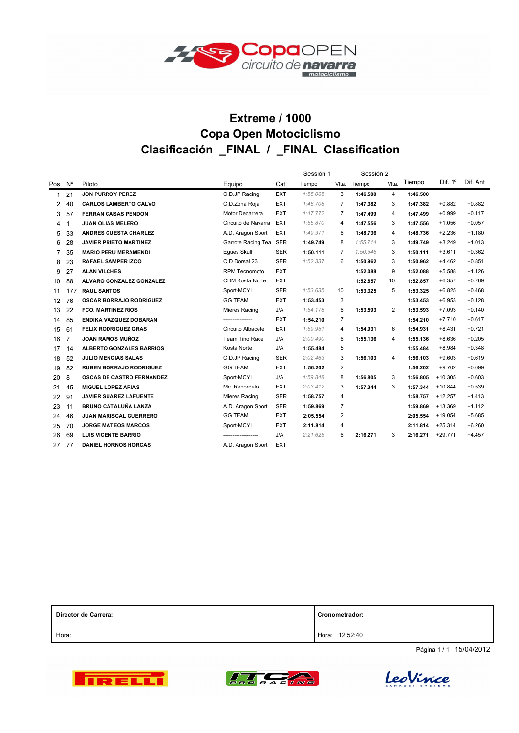

### **Extreme / 1000 Clasificación \_FINAL / \_FINAL Classification Copa Open Motociclismo**

|              |                |                                  |                        |            | Sessión 1 |                | Sessión 2 |                |          |                |          |
|--------------|----------------|----------------------------------|------------------------|------------|-----------|----------------|-----------|----------------|----------|----------------|----------|
| Pos          | N°             | Piloto                           | Equipo                 | Cat        | Tiempo    | VIta.          | Tiempo    | VIta.          | Tiempo   | Dif. $1^\circ$ | Dif. Ant |
| $\mathbf{1}$ | 21             | <b>JON PURROY PEREZ</b>          | C.D.JP Racing          | <b>EXT</b> | 1:55.065  | 3              | 1:46.500  | $\overline{4}$ | 1:46.500 |                |          |
| 2            | 40             | <b>CARLOS LAMBERTO CALVO</b>     | C.D.Zona Roja          | <b>EXT</b> | 1:48.708  | $\overline{7}$ | 1:47.382  | 3              | 1:47.382 | $+0.882$       | $+0.882$ |
| 3            | 57             | <b>FERRAN CASAS PENDON</b>       | Motor Decarrera        | <b>EXT</b> | 1:47.772  | $\overline{7}$ | 1:47.499  | $\overline{4}$ | 1:47.499 | $+0.999$       | $+0.117$ |
| 4            | 1              | <b>JUAN OLIAS MELERO</b>         | Circuito de Navarra    | <b>EXT</b> | 1:55.870  | 4              | 1:47.556  | 3              | 1:47.556 | $+1.056$       | $+0.057$ |
| 5            | 33             | <b>ANDRES CUESTA CHARLEZ</b>     | A.D. Aragon Sport      | <b>EXT</b> | 1:49.371  | 6              | 1:48.736  | $\overline{4}$ | 1:48.736 | $+2.236$       | $+1.180$ |
| 6            | 28             | <b>JAVIER PRIETO MARTINEZ</b>    | Garrote Racing Tea     | <b>SER</b> | 1:49.749  | 8              | 1:55.714  | 3              | 1:49.749 | $+3.249$       | $+1.013$ |
| 7            | 35             | <b>MARIO PERU MERAMENDI</b>      | Egües Skull            | <b>SER</b> | 1:50.111  | $\overline{7}$ | 1:50.546  | 3              | 1:50.111 | $+3.611$       | $+0.362$ |
| 8            | 23             | <b>RAFAEL SAMPER IZCO</b>        | C.D Dorsal 23          | <b>SER</b> | 1:52.337  | 6              | 1:50.962  | 3              | 1:50.962 | $+4.462$       | $+0.851$ |
| 9            | 27             | <b>ALAN VILCHES</b>              | <b>RPM Tecnomoto</b>   | <b>EXT</b> |           |                | 1:52.088  | 9              | 1:52.088 | $+5.588$       | $+1.126$ |
| 10           | 88             | ALVARO GONZALEZ GONZALEZ         | <b>CDM Kosta Norte</b> | <b>EXT</b> |           |                | 1:52.857  | 10             | 1:52.857 | $+6.357$       | $+0.769$ |
| 11           | 177            | <b>RAUL SANTOS</b>               | Sport-MCYL             | <b>SER</b> | 1:53.635  | 10             | 1:53.325  | 5              | 1:53.325 | $+6.825$       | $+0.468$ |
| 12           | 76             | <b>OSCAR BORRAJO RODRIGUEZ</b>   | <b>GG TEAM</b>         | <b>EXT</b> | 1:53.453  | 3              |           |                | 1:53.453 | $+6.953$       | $+0.128$ |
| 13           | 22             | <b>FCO. MARTINEZ RIOS</b>        | Mieres Racing          | J/A        | 1:54.178  | 6              | 1:53.593  | $\overline{2}$ | 1:53.593 | $+7.093$       | $+0.140$ |
| 14           | 85             | ENDIKA VAZQUEZ DOBARAN           | ----------------       | <b>EXT</b> | 1:54.210  | $\overline{7}$ |           |                | 1:54.210 | $+7.710$       | $+0.617$ |
| 15           | 61             | <b>FELIX RODRIGUEZ GRAS</b>      | Circuito Albacete      | <b>EXT</b> | 1:59.951  | 4              | 1:54.931  | 6              | 1:54.931 | $+8.431$       | $+0.721$ |
| 16           | $\overline{7}$ | <b>JOAN RAMOS MUÑOZ</b>          | Team Tino Race         | J/A        | 2:00.490  | 6              | 1:55.136  | $\overline{4}$ | 1:55.136 | $+8.636$       | $+0.205$ |
| 17           | 14             | <b>ALBERTO GONZALES BARRIOS</b>  | Kosta Norte            | J/A        | 1:55.484  | 5              |           |                | 1:55.484 | $+8.984$       | $+0.348$ |
| 18           | 52             | <b>JULIO MENCIAS SALAS</b>       | C.D.JP Racing          | <b>SER</b> | 2:02.463  | 3              | 1:56.103  | $\overline{4}$ | 1:56.103 | $+9.603$       | $+0.619$ |
| 19           | 82             | <b>RUBEN BORRAJO RODRIGUEZ</b>   | <b>GG TEAM</b>         | <b>EXT</b> | 1:56.202  | $\overline{2}$ |           |                | 1:56.202 | $+9.702$       | $+0.099$ |
| 20           | 8              | <b>OSCAS DE CASTRO FERNANDEZ</b> | Sport-MCYL             | J/A        | 1:59.848  | 8              | 1:56.805  | 3              | 1:56.805 | $+10.305$      | $+0.603$ |
| 21           | 45             | <b>MIGUEL LOPEZ ARIAS</b>        | Mc. Rebordelo          | <b>EXT</b> | 2:03.412  | 3              | 1:57.344  | 3              | 1:57.344 | $+10.844$      | $+0.539$ |
| 22           | 91             | <b>JAVIER SUAREZ LAFUENTE</b>    | Mieres Racing          | <b>SER</b> | 1:58.757  | 4              |           |                | 1:58.757 | $+12.257$      | $+1.413$ |
| 23           | 11             | <b>BRUNO CATALUÑA LANZA</b>      | A.D. Aragon Sport      | <b>SER</b> | 1:59.869  | $\overline{7}$ |           |                | 1:59.869 | $+13.369$      | $+1.112$ |
| 24           | 46             | <b>JUAN MARISCAL GUERRERO</b>    | <b>GG TEAM</b>         | <b>EXT</b> | 2:05.554  | 2              |           |                | 2:05.554 | $+19.054$      | $+5.685$ |
| 25           | 70             | <b>JORGE MATEOS MARCOS</b>       | Sport-MCYL             | <b>EXT</b> | 2:11.814  | 4              |           |                | 2:11.814 | $+25.314$      | $+6.260$ |
| 26           | 69             | <b>LUIS VICENTE BARRIO</b>       |                        | J/A        | 2:21.625  | 6              | 2:16.271  | 3              | 2:16.271 | $+29.771$      | $+4.457$ |
| 27           | 77             | <b>DANIEL HORNOS HORCAS</b>      | A.D. Aragon Sport      | <b>EXT</b> |           |                |           |                |          |                |          |

| Director de Carrera: | Cronometrador:    |  |  |  |  |  |  |
|----------------------|-------------------|--|--|--|--|--|--|
| Hora:                | 12:52:40<br>Hora: |  |  |  |  |  |  |

Página 1 / 1 15/04/2012





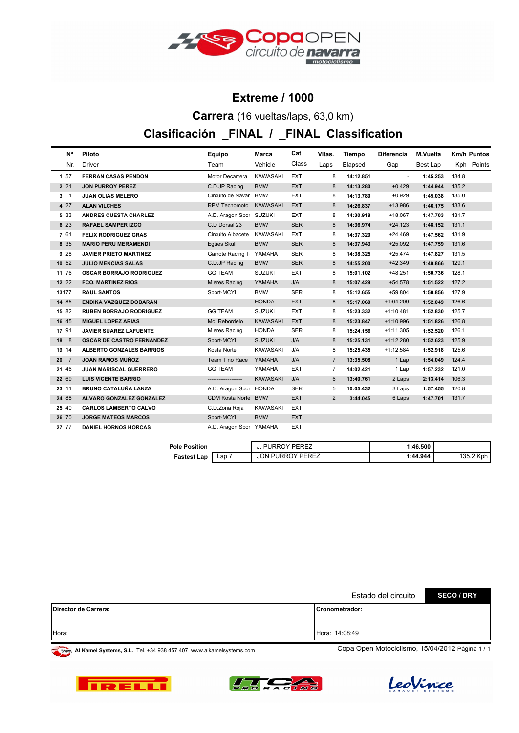

#### **Extreme / 1000**

**Carrera** (16 vueltas/laps, 63,0 km)

### **Clasificación \_FINAL / \_FINAL Classification**

| N°           | Piloto                           | Equipo                  | Marca           | Cat        | Vitas.         | Tiempo    | Diferencia  | M.Vuelta | <b>Km/h Puntos</b> |            |
|--------------|----------------------------------|-------------------------|-----------------|------------|----------------|-----------|-------------|----------|--------------------|------------|
| Nr.          | Driver                           | Team                    | Vehicle         | Class      | Laps           | Elapsed   | Gap         | Best Lap |                    | Kph Points |
| 1 57         | <b>FERRAN CASAS PENDON</b>       | Motor Decarrera         | <b>KAWASAKI</b> | <b>EXT</b> | 8              | 14:12.851 | $\sim$      | 1:45.253 | 134.8              |            |
| 2 2 1        | <b>JON PURROY PEREZ</b>          | C.D.JP Racing           | <b>BMW</b>      | <b>EXT</b> | 8              | 14:13.280 | $+0.429$    | 1:44.944 | 135.2              |            |
| 3 1          | <b>JUAN OLIAS MELERO</b>         | Circuito de Navar       | <b>BMW</b>      | <b>EXT</b> | 8              | 14:13.780 | $+0.929$    | 1:45.038 | 135.0              |            |
| 4 27         | <b>ALAN VILCHES</b>              | RPM Tecnomoto KAWASAKI  |                 | <b>EXT</b> | 8              | 14:26.837 | +13.986     | 1:46.175 | 133.6              |            |
| 5 3 3        | <b>ANDRES CUESTA CHARLEZ</b>     | A.D. Aragon Spor SUZUKI |                 | EXT        | 8              | 14:30.918 | $+18.067$   | 1:47.703 | 131.7              |            |
| 6 23         | <b>RAFAEL SAMPER IZCO</b>        | C.D Dorsal 23           | <b>BMW</b>      | <b>SER</b> | 8              | 14:36.974 | $+24.123$   | 1:48.152 | 131.1              |            |
| 7 61         | <b>FELIX RODRIGUEZ GRAS</b>      | Circuito Albacete       | KAWASAKI        | EXT        | 8              | 14:37.320 | $+24.469$   | 1:47.562 | 131.9              |            |
| 8 35         | <b>MARIO PERU MERAMENDI</b>      | Egües Skull             | <b>BMW</b>      | <b>SER</b> | 8              | 14:37.943 | $+25.092$   | 1:47.759 | 131.6              |            |
| 928          | <b>JAVIER PRIETO MARTINEZ</b>    | Garrote Racing T        | YAMAHA          | SER        | 8              | 14:38.325 | $+25.474$   | 1:47.827 | 131.5              |            |
| 10 52        | <b>JULIO MENCIAS SALAS</b>       | C.D.JP Racing           | <b>BMW</b>      | <b>SER</b> | 8              | 14:55.200 | $+42.349$   | 1:49.866 | 129.1              |            |
| 11 76        | <b>OSCAR BORRAJO RODRIGUEZ</b>   | <b>GG TEAM</b>          | <b>SUZUKI</b>   | <b>EXT</b> | 8              | 15:01.102 | $+48.251$   | 1:50.736 | 128.1              |            |
| 12 22        | <b>FCO. MARTINEZ RIOS</b>        | <b>Mieres Racing</b>    | YAMAHA          | J/A        | 8              | 15:07.429 | $+54.578$   | 1:51.522 | 127.2              |            |
| 13177        | <b>RAUL SANTOS</b>               | Sport-MCYL              | <b>BMW</b>      | SER        | 8              | 15:12.655 | $+59.804$   | 1:50.856 | 127.9              |            |
| 14 85        | ENDIKA VAZQUEZ DOBARAN           | ----------------        | <b>HONDA</b>    | <b>EXT</b> | 8              | 15:17.060 | $+1:04.209$ | 1:52.049 | 126.6              |            |
| 15 82        | <b>RUBEN BORRAJO RODRIGUEZ</b>   | <b>GG TEAM</b>          | <b>SUZUKI</b>   | <b>EXT</b> | 8              | 15:23.332 | $+1:10.481$ | 1:52.830 | 125.7              |            |
| 16 45        | <b>MIGUEL LOPEZ ARIAS</b>        | Mc. Rebordelo           | <b>KAWASAKI</b> | <b>EXT</b> | 8              | 15:23.847 | $+1:10.996$ | 1:51.826 | 126.8              |            |
| 17 91        | JAVIER SUAREZ LAFUENTE           | Mieres Racing           | <b>HONDA</b>    | <b>SER</b> | 8              | 15:24.156 | $+1:11.305$ | 1:52.520 | 126.1              |            |
| 18 8         | <b>OSCAR DE CASTRO FERNANDEZ</b> | Sport-MCYL              | <b>SUZUKI</b>   | J/A        | 8              | 15:25.131 | $+1:12.280$ | 1:52.623 | 125.9              |            |
| 19 14        | <b>ALBERTO GONZALES BARRIOS</b>  | Kosta Norte             | <b>KAWASAKI</b> | J/A        | 8              | 15:25.435 | $+1:12.584$ | 1:52.918 | 125.6              |            |
| $20 \quad 7$ | <b>JOAN RAMOS MUÑOZ</b>          | Team Tino Race          | YAMAHA          | J/A        | $\overline{7}$ | 13:35.508 | 1 Lap       | 1:54.049 | 124.4              |            |
| 21 46        | JUAN MARISCAL GUERRERO           | <b>GG TEAM</b>          | YAMAHA          | <b>EXT</b> | $\overline{7}$ | 14:02.421 | 1 Lap       | 1:57.232 | 121.0              |            |
| 22 69        | <b>LUIS VICENTE BARRIO</b>       | -------------------     | <b>KAWASAKI</b> | J/A        | 6              | 13:40.761 | 2 Laps      | 2:13.414 | 106.3              |            |
| 23 11        | <b>BRUNO CATALUÑA LANZA</b>      | A.D. Aragon Spor HONDA  |                 | <b>SER</b> | 5              | 10:05.432 | 3 Laps      | 1:57.455 | 120.8              |            |
| 24 88        | ALVARO GONZALEZ GONZALEZ         | CDM Kosta Norte BMW     |                 | <b>EXT</b> | $\overline{2}$ | 3:44.045  | 6 Laps      | 1:47.701 | 131.7              |            |
| 25 40        | <b>CARLOS LAMBERTO CALVO</b>     | C.D.Zona Roja           | <b>KAWASAKI</b> | EXT        |                |           |             |          |                    |            |
| 26 70        | <b>JORGE MATEOS MARCOS</b>       | Sport-MCYL              | <b>BMW</b>      | <b>EXT</b> |                |           |             |          |                    |            |
| 27 77        | <b>DANIEL HORNOS HORCAS</b>      | A.D. Aragon Spor YAMAHA |                 | <b>EXT</b> |                |           |             |          |                    |            |

| <b>Pole Position</b> |     | <b>PURROY PEREZ</b>     | 1:46.500 |                      |  |  |
|----------------------|-----|-------------------------|----------|----------------------|--|--|
| <b>Fastest Lap</b>   | Lap | <b>JON PURROY PEREZ</b> | 1:44.944 | <b>K</b> ph<br>135.2 |  |  |

|                              | Estado del circuito   | <b>SECO / DRY</b> |
|------------------------------|-----------------------|-------------------|
| <b>IDirector de Carrera:</b> | <b>Cronometrador:</b> |                   |
|                              |                       |                   |
| Hora:                        | Hora: 14:08:49        |                   |





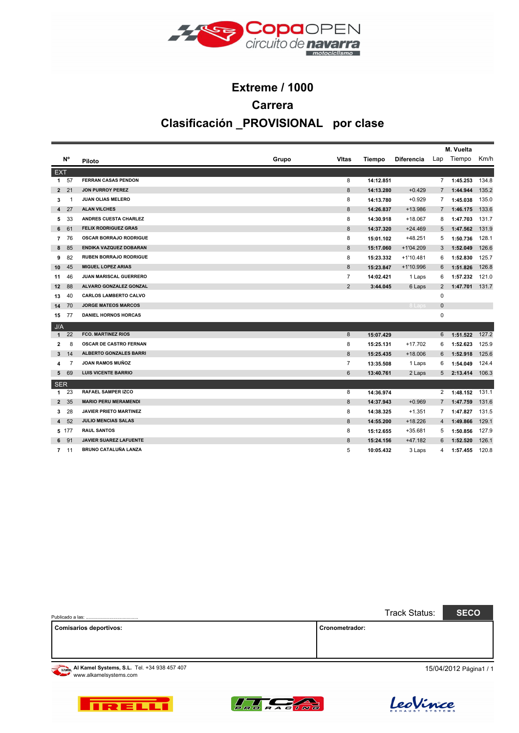

# **Extreme / 1000 Carrera Clasificación \_PROVISIONAL por clase**

|                |       |                               |       |                |           |                   | M. Vuelta      |            |       |  |  |
|----------------|-------|-------------------------------|-------|----------------|-----------|-------------------|----------------|------------|-------|--|--|
|                | N°    | Piloto                        | Grupo | <b>VItas</b>   | Tiempo    | <b>Diferencia</b> |                | Lap Tiempo | Km/h  |  |  |
| <b>EXT</b>     |       |                               |       |                |           |                   |                |            |       |  |  |
| $\mathbf{1}$   | 57    | <b>FERRAN CASAS PENDON</b>    |       | 8              | 14:12.851 |                   | $\mathbf{7}$   | 1:45.253   | 134.8 |  |  |
| $\mathbf{2}$   | 21    | <b>JON PURROY PEREZ</b>       |       | 8              | 14:13.280 | $+0.429$          | $\overline{7}$ | 1:44.944   | 135.2 |  |  |
| 3              | -1    | JUAN OLIAS MELERO             |       | 8              | 14:13.780 | $+0.929$          | 7              | 1:45.038   | 135.0 |  |  |
| 4              | 27    | <b>ALAN VILCHES</b>           |       | 8              | 14:26.837 | +13.986           | $7^{\circ}$    | 1:46.175   | 133.6 |  |  |
| 5              | 33    | <b>ANDRES CUESTA CHARLEZ</b>  |       | 8              | 14:30.918 | $+18.067$         | 8              | 1:47.703   | 131.7 |  |  |
| 6              | 61    | <b>FELIX RODRIGUEZ GRAS</b>   |       | 8              | 14:37.320 | $+24.469$         | 5              | 1:47.562   | 131.9 |  |  |
| 7              | 76    | <b>OSCAR BORRAJO RODRIGUE</b> |       | 8              | 15:01.102 | $+48.251$         | 5              | 1:50.736   | 128.1 |  |  |
| 8              | 85    | ENDIKA VAZQUEZ DOBARAN        |       | 8              | 15:17.060 | $+1'04.209$       | 3              | 1:52.049   | 126.6 |  |  |
| 9              | 82    | <b>RUBEN BORRAJO RODRIGUE</b> |       | 8              | 15:23.332 | +1'10.481         | 6              | 1:52.830   | 125.7 |  |  |
| 10             | 45    | <b>MIGUEL LOPEZ ARIAS</b>     |       | 8              | 15:23.847 | $+1'10.996$       | 6              | 1:51.826   | 126.8 |  |  |
| 11             | 46    | JUAN MARISCAL GUERRERO        |       | $\overline{7}$ | 14:02.421 | 1 Laps            | 6              | 1:57.232   | 121.0 |  |  |
| 12             | 88    | <b>ALVARO GONZALEZ GONZAL</b> |       | 2              | 3:44.045  | 6 Laps            | 2              | 1:47.701   | 131.7 |  |  |
| 13             | 40    | <b>CARLOS LAMBERTO CALVO</b>  |       |                |           |                   | 0              |            |       |  |  |
| 14             | 70    | <b>JORGE MATEOS MARCOS</b>    |       |                |           | 8 Laps            | 0              |            |       |  |  |
| 15             | 77    | <b>DANIEL HORNOS HORCAS</b>   |       |                |           |                   | 0              |            |       |  |  |
| J/A            |       |                               |       |                |           |                   |                |            |       |  |  |
| $\mathbf{1}$   | 22    | <b>FCO. MARTINEZ RIOS</b>     |       | 8              | 15:07.429 |                   | 6              | 1:51.522   | 127.2 |  |  |
| 2              | 8     | <b>OSCAR DE CASTRO FERNAN</b> |       | 8              | 15:25.131 | $+17.702$         | 6              | 1:52.623   | 125.9 |  |  |
| 3              | 14    | <b>ALBERTO GONZALES BARRI</b> |       | 8              | 15:25.435 | $+18.006$         | 6              | 1:52.918   | 125.6 |  |  |
| 4              | 7     | <b>JOAN RAMOS MUÑOZ</b>       |       | $\overline{7}$ | 13:35.508 | 1 Laps            | 6              | 1:54.049   | 124.4 |  |  |
| 5              | 69    | <b>LUIS VICENTE BARRIO</b>    |       | 6              | 13:40.761 | 2 Laps            | 5              | 2:13.414   | 106.3 |  |  |
| <b>SER</b>     |       |                               |       |                |           |                   |                |            |       |  |  |
| 1              | 23    | <b>RAFAEL SAMPER IZCO</b>     |       | 8              | 14:36.974 |                   | $\overline{2}$ | 1:48.152   | 131.1 |  |  |
| $\overline{2}$ | 35    | <b>MARIO PERU MERAMENDI</b>   |       | 8              | 14:37.943 | $+0.969$          |                | 1:47.759   | 131.6 |  |  |
| 3              | 28    | <b>JAVIER PRIETO MARTINEZ</b> |       | 8              | 14:38.325 | $+1.351$          | $7^{\circ}$    | 1:47.827   | 131.5 |  |  |
| 4              | 52    | <b>JULIO MENCIAS SALAS</b>    |       | 8              | 14:55.200 | $+18.226$         | 4              | 1:49.866   | 129.1 |  |  |
|                | 5 177 | <b>RAUL SANTOS</b>            |       | 8              | 15:12.655 | +35.681           | 5              | 1:50.856   | 127.9 |  |  |
| 6              | 91    | <b>JAVIER SUAREZ LAFUENTE</b> |       | 8              | 15:24.156 | $+47.182$         | 6              | 1:52.520   | 126.1 |  |  |
| 7              | 11    | BRUNO CATALUÑA LANZA          |       | 5              | 10:05.432 | 3 Laps            | 4              | 1:57.455   | 120.8 |  |  |

|                                                                       | Track Status:<br><b>SECO</b> |
|-----------------------------------------------------------------------|------------------------------|
| <b>Comisarios deportivos:</b>                                         | Cronometrador:               |
|                                                                       |                              |
|                                                                       |                              |
| Al Kamel Systems, S.L. Tel. +34 938 457 407<br>www.alkamelsystems.com | 15/04/2012 Página1 / 1       |





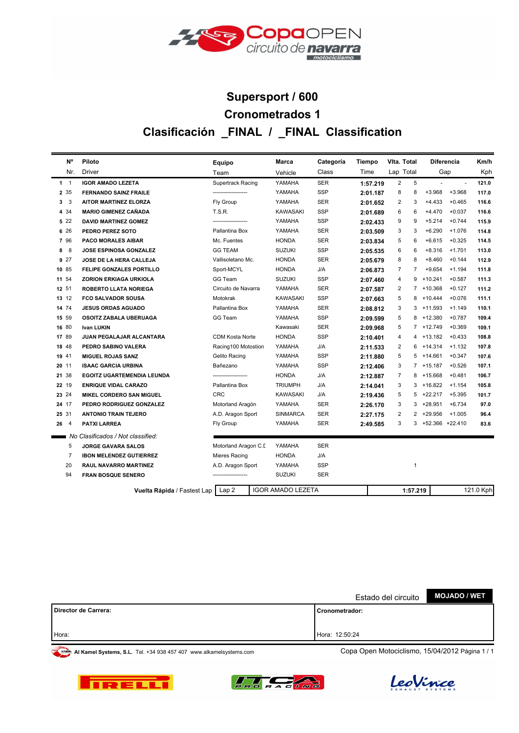

# **Clasificación \_FINAL / \_FINAL Classification Cronometrados 1 Supersport / 600**

|               | N°             | Piloto                              | Equipo                 | Marca                    | Categoría  | Tiempo   | Vita. Total |                |                   | <b>Diferencia</b>        | Km/h      |
|---------------|----------------|-------------------------------------|------------------------|--------------------------|------------|----------|-------------|----------------|-------------------|--------------------------|-----------|
|               | Nr.            | <b>Driver</b>                       | Team                   | Vehicle                  | Class      | Time     | Lap Total   |                | Gap               |                          | Kph       |
|               | $1 \quad 1$    | <b>IGOR AMADO LEZETA</b>            | Supertrack Racing      | YAMAHA                   | <b>SER</b> | 1:57.219 | 2           | 5              |                   | $\overline{\phantom{a}}$ | 121.0     |
|               | 2 35           | <b>FERNANDO SAINZ FRAILE</b>        | -------------------    | YAMAHA                   | SSP        | 2:01.187 | 8           | 8              | $+3.968$          | $+3.968$                 | 117.0     |
|               | 3 <sup>3</sup> | <b>AITOR MARTINEZ ELORZA</b>        | Fly Group              | YAMAHA                   | <b>SER</b> | 2:01.652 | 2           | 3              | $+4.433$          | $+0.465$                 | 116.6     |
|               | 4 3 4          | <b>MARIO GIMENEZ CAÑADA</b>         | <b>T.S.R.</b>          | <b>KAWASAKI</b>          | SSP        | 2:01.689 | 6           | 6              | $+4.470$          | $+0.037$                 | 116.6     |
|               | 522            | <b>DAVID MARTINEZ GOMEZ</b>         |                        | YAMAHA                   | <b>SSP</b> | 2:02.433 | 9           | 9              | $+5.214$          | $+0.744$                 | 115.9     |
|               | 6 26           | PEDRO PEREZ SOTO                    | Pallantina Box         | YAMAHA                   | <b>SER</b> | 2:03.509 | 3           | 3              | $+6.290$          | $+1.076$                 | 114.8     |
|               | 7 96           | <b>PACO MORALES AIBAR</b>           | Mc. Fuentes            | <b>HONDA</b>             | <b>SER</b> | 2:03.834 | 5           | 6              | $+6.615$          | $+0.325$                 | 114.5     |
| 8             | 8              | JOSE ESPINOSA GONZALEZ              | <b>GG TEAM</b>         | <b>SUZUKI</b>            | <b>SSP</b> | 2:05.535 | 6           | 6              | $+8.316$          | $+1.701$                 | 113.0     |
|               | 9 27           | JOSE DE LA HERA CALLEJA             | Vallisoletano Mc.      | <b>HONDA</b>             | <b>SER</b> | 2:05.679 | 8           | 8              | $+8.460$          | $+0.144$                 | 112.9     |
| 10 85         |                | <b>FELIPE GONZALES PORTILLO</b>     | Sport-MCYL             | HONDA                    | J/A        | 2:06.873 | 7           | $\overline{7}$ | $+9.654$          | $+1.194$                 | 111.8     |
| 11 54         |                | <b>ZORION ERKIAGA URKIOLA</b>       | GG Team                | <b>SUZUKI</b>            | <b>SSP</b> | 2:07.460 | 4           | 9              | +10.241           | $+0.587$                 | 111.3     |
| 12 51         |                | <b>ROBERTO LLATA NORIEGA</b>        | Circuito de Navarra    | YAMAHA                   | <b>SER</b> | 2:07.587 | 2           |                | $7 + 10.368$      | $+0.127$                 | 111.2     |
| 13 12         |                | <b>FCO SALVADOR SOUSA</b>           | Motokrak               | <b>KAWASAKI</b>          | <b>SSP</b> | 2:07.663 | 5           | 8              | $+10.444$         | $+0.076$                 | 111.1     |
| 14 74         |                | <b>JESUS ORDAS AGUADO</b>           | Pallantina Box         | YAMAHA                   | <b>SER</b> | 2:08.812 | 3           |                | $3 + 11.593$      | $+1.149$                 | 110.1     |
| 15 59         |                | OSOITZ ZABALA UBERUAGA              | GG Team                | YAMAHA                   | <b>SSP</b> | 2:09.599 | 5           | 8              | +12.380           | $+0.787$                 | 109.4     |
| 16 80         |                | <b>Ivan LUKIN</b>                   |                        | Kawasaki                 | <b>SER</b> | 2:09.968 | 5           |                | 7 +12.749         | $+0.369$                 | 109.1     |
| 17 89         |                | <b>JUAN PEGALAJAR ALCANTARA</b>     | <b>CDM Kosta Norte</b> | <b>HONDA</b>             | <b>SSP</b> | 2:10.401 | 4           | 4              | $+13.182$         | $+0.433$                 | 108.8     |
| 18 48         |                | PEDRO SABINO VALERA                 | Racing100 Motostion    | YAMAHA                   | J/A        | 2:11.533 | 2           | 6              | $+14.314$         | $+1.132$                 | 107.8     |
| 19 41         |                | <b>MIGUEL ROJAS SANZ</b>            | Gelito Racing          | YAMAHA                   | <b>SSP</b> | 2:11.880 | 5           | 5              | +14.661           | $+0.347$                 | 107.6     |
| 20 11         |                | <b>ISAAC GARCIA URBINA</b>          | Bañezano               | YAMAHA                   | <b>SSP</b> | 2:12.406 | 3           |                | 7 +15.187         | $+0.526$                 | 107.1     |
| 21 38         |                | <b>EGOITZ UGARTEMENDIA LEUNDA</b>   |                        | <b>HONDA</b>             | J/A        | 2:12.887 | 7           | 8              | +15.668           | $+0.481$                 | 106.7     |
| 22 19         |                | <b>ENRIQUE VIDAL CARAZO</b>         | Pallantina Box         | <b>TRIUMPH</b>           | J/A        | 2:14.041 | 3           | 3              | +16.822           | $+1.154$                 | 105.8     |
| 23 24         |                | MIKEL CORDERO SAN MIGUEL            | <b>CRC</b>             | KAWASAKI                 | J/A        | 2:19.436 | 5           | 5              | +22.217           | $+5.395$                 | 101.7     |
| 24 17         |                | PEDRO RODRIGUEZ GONZALEZ            | Motorland Aragón       | YAMAHA                   | <b>SER</b> | 2:26.170 | 3           | 3              | +28.951           | $+6.734$                 | 97.0      |
| 25 31         |                | <b>ANTONIO TRAIN TEJERO</b>         | A.D. Aragon Sport      | <b>SINMARCA</b>          | <b>SER</b> | 2:27.175 | 2           | 2              | +29.956           | $+1.005$                 | 96.4      |
| $26^{\circ}4$ |                | <b>PATXI LARREA</b>                 | Fly Group              | YAMAHA                   | <b>SER</b> | 2:49.585 | 3           |                | 3 +52.366 +22.410 |                          | 83.6      |
|               |                | No Clasificados / Not classified:   |                        |                          |            |          |             |                |                   |                          |           |
|               | 5              | <b>JORGE GAVARA SALOS</b>           | Motorland Aragon C.I.  | YAMAHA                   | <b>SER</b> |          |             |                |                   |                          |           |
|               | 7              | <b>IBON MELENDEZ GUTIERREZ</b>      | Mieres Racing          | <b>HONDA</b>             | J/A        |          |             |                |                   |                          |           |
|               | 20             | RAUL NAVARRO MARTINEZ               | A.D. Aragon Sport      | YAMAHA                   | <b>SSP</b> |          |             | $\mathbf{1}$   |                   |                          |           |
|               | 94             | <b>FRAN BOSQUE SENERO</b>           |                        | <b>SUZUKI</b>            | <b>SER</b> |          |             |                |                   |                          |           |
|               |                | Vuelta Rápida / Fastest Lap   Lap 2 |                        | <b>IGOR AMADO LEZETA</b> |            |          |             | 1:57.219       |                   |                          | 121.0 Kph |
|               |                |                                     |                        |                          |            |          |             |                |                   |                          |           |

|                        | Estado del circuito | <b>MOJADO / WET</b> |
|------------------------|---------------------|---------------------|
| l Director de Carrera: | I Cronometrador:    |                     |
| Hora:                  | Hora: 12:50:24      |                     |





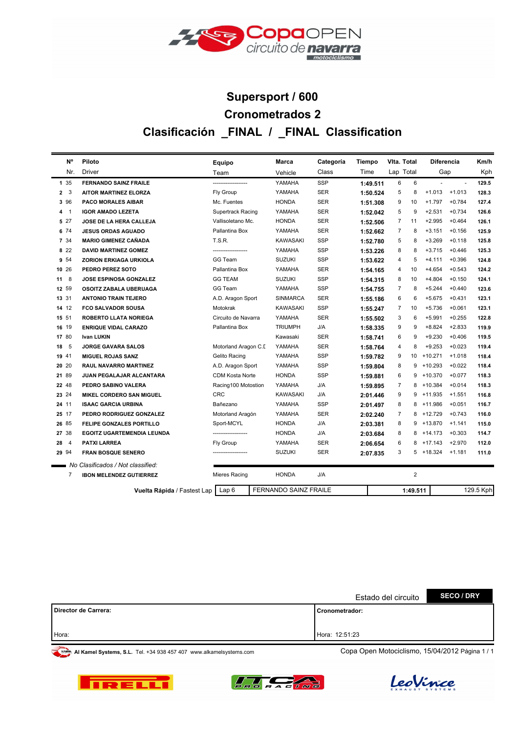

# **Clasificación \_FINAL / \_FINAL Classification Cronometrados 2 Supersport / 600**

|                | N°             | Piloto                            | Equipo                   | Marca                        | Categoría  | Tiempo   | Vita. Total<br><b>Diferencia</b> |                |           | Km/h           |           |
|----------------|----------------|-----------------------------------|--------------------------|------------------------------|------------|----------|----------------------------------|----------------|-----------|----------------|-----------|
|                | Nr.            | Driver                            | Team                     | Vehicle                      | Class      | Time     | Lap Total                        |                | Gap       |                | Kph       |
| 135            |                | <b>FERNANDO SAINZ FRAILE</b>      |                          | YAMAHA                       | <b>SSP</b> | 1:49.511 | 6                                | 6              |           | $\blacksquare$ | 129.5     |
| 2 <sub>3</sub> |                | <b>AITOR MARTINEZ ELORZA</b>      | Fly Group                | YAMAHA                       | <b>SER</b> | 1:50.524 | 5                                | 8              | $+1.013$  | $+1.013$       | 128.3     |
| 3 96           |                | <b>PACO MORALES AIBAR</b>         | Mc. Fuentes              | <b>HONDA</b>                 | <b>SER</b> | 1:51.308 | 9                                | 10             | $+1.797$  | $+0.784$       | 127.4     |
| 4              | $\overline{1}$ | <b>IGOR AMADO LEZETA</b>          | <b>Supertrack Racing</b> | YAMAHA                       | <b>SER</b> | 1:52.042 | 5                                | 9              | $+2.531$  | $+0.734$       | 126.6     |
| 5 27           |                | JOSE DE LA HERA CALLEJA           | Vallisoletano Mc.        | <b>HONDA</b>                 | <b>SER</b> | 1:52.506 | 7                                | 11             | $+2.995$  | $+0.464$       | 126.1     |
| 6 74           |                | <b>JESUS ORDAS AGUADO</b>         | Pallantina Box           | YAMAHA                       | <b>SER</b> | 1:52.662 | 7                                | 8              | $+3.151$  | $+0.156$       | 125.9     |
| 7 34           |                | <b>MARIO GIMENEZ CAÑADA</b>       | T.S.R.                   | <b>KAWASAKI</b>              | SSP        | 1:52.780 | 5                                | 8              | $+3.269$  | $+0.118$       | 125.8     |
| 8 2 2          |                | <b>DAVID MARTINEZ GOMEZ</b>       |                          | YAMAHA                       | <b>SSP</b> | 1:53.226 | 8                                | 8              | $+3.715$  | $+0.446$       | 125.3     |
| 9 54           |                | ZORION ERKIAGA URKIOLA            | GG Team                  | <b>SUZUKI</b>                | <b>SSP</b> | 1:53.622 | 4                                | 5              | $+4.111$  | $+0.396$       | 124.8     |
| 10 26          |                | PEDRO PEREZ SOTO                  | Pallantina Box           | YAMAHA                       | <b>SER</b> | 1:54.165 | 4                                | 10             | $+4.654$  | $+0.543$       | 124.2     |
| $11 \quad 8$   |                | <b>JOSE ESPINOSA GONZALEZ</b>     | <b>GG TEAM</b>           | <b>SUZUKI</b>                | <b>SSP</b> | 1:54.315 | 8                                | 10             | $+4.804$  | $+0.150$       | 124.1     |
| 12 59          |                | OSOITZ ZABALA UBERUAGA            | GG Team                  | YAMAHA                       | <b>SSP</b> | 1:54.755 | $\overline{7}$                   | 8              | $+5.244$  | $+0.440$       | 123.6     |
| 13 31          |                | <b>ANTONIO TRAIN TEJERO</b>       | A.D. Aragon Sport        | <b>SINMARCA</b>              | <b>SER</b> | 1:55.186 | 6                                | 6              | $+5.675$  | $+0.431$       | 123.1     |
| 14 12          |                | <b>FCO SALVADOR SOUSA</b>         | Motokrak                 | <b>KAWASAKI</b>              | SSP        | 1:55.247 | $\overline{7}$                   | 10             | $+5.736$  | $+0.061$       | 123.1     |
| 15 51          |                | <b>ROBERTO LLATA NORIEGA</b>      | Circuito de Navarra      | YAMAHA                       | <b>SER</b> | 1:55.502 | 3                                | 6              | $+5.991$  | $+0.255$       | 122.8     |
| 16 19          |                | <b>ENRIQUE VIDAL CARAZO</b>       | Pallantina Box           | <b>TRIUMPH</b>               | J/A        | 1:58.335 | 9                                | 9              | $+8.824$  | $+2.833$       | 119.9     |
| 17 80          |                | <b>Ivan LUKIN</b>                 |                          | Kawasaki                     | <b>SER</b> | 1:58.741 | 6                                | 9              | $+9.230$  | $+0.406$       | 119.5     |
| 18             | 5              | <b>JORGE GAVARA SALOS</b>         | Motorland Aragon C.I.    | YAMAHA                       | <b>SER</b> | 1:58.764 | 4                                | 8              | $+9.253$  | $+0.023$       | 119.4     |
| 19 41          |                | <b>MIGUEL ROJAS SANZ</b>          | Gelito Racing            | YAMAHA                       | SSP        | 1:59.782 | 9                                | 10             | $+10.271$ | $+1.018$       | 118.4     |
| 20 20          |                | <b>RAUL NAVARRO MARTINEZ</b>      | A.D. Aragon Sport        | YAMAHA                       | SSP        | 1:59.804 | 8                                | 9              | $+10.293$ | $+0.022$       | 118.4     |
| 21 89          |                | JUAN PEGALAJAR ALCANTARA          | <b>CDM Kosta Norte</b>   | <b>HONDA</b>                 | <b>SSP</b> | 1:59.881 | 6                                | 9              | $+10.370$ | $+0.077$       | 118.3     |
| 22 48          |                | PEDRO SABINO VALERA               | Racing100 Motostion      | YAMAHA                       | J/A        | 1:59.895 | $\overline{7}$                   | 8              | +10.384   | $+0.014$       | 118.3     |
| 23 24          |                | <b>MIKEL CORDERO SAN MIGUEL</b>   | <b>CRC</b>               | <b>KAWASAKI</b>              | J/A        | 2:01.446 | 9                                | 9              | $+11.935$ | $+1.551$       | 116.8     |
| 24 11          |                | <b>ISAAC GARCIA URBINA</b>        | Bañezano                 | YAMAHA                       | <b>SSP</b> | 2:01.497 | 8                                | 8              | +11.986   | $+0.051$       | 116.7     |
| 25 17          |                | PEDRO RODRIGUEZ GONZALEZ          | Motorland Aragón         | YAMAHA                       | <b>SER</b> | 2:02.240 | $\overline{7}$                   | 8              | $+12.729$ | $+0.743$       | 116.0     |
| 26 85          |                | FELIPE GONZALES PORTILLO          | Sport-MCYL               | <b>HONDA</b>                 | J/A        | 2:03.381 | 8                                | 9              | +13.870   | $+1.141$       | 115.0     |
| 27 38          |                | <b>EGOITZ UGARTEMENDIA LEUNDA</b> |                          | <b>HONDA</b>                 | J/A        | 2:03.684 | 8                                | 8              | $+14.173$ | $+0.303$       | 114.7     |
| 28             | $\overline{4}$ | <b>PATXI LARREA</b>               | Fly Group                | YAMAHA                       | <b>SER</b> | 2:06.654 | 6                                | 8              | $+17.143$ | $+2.970$       | 112.0     |
| 29 94          |                | <b>FRAN BOSQUE SENERO</b>         |                          | <b>SUZUKI</b>                | <b>SER</b> | 2:07.835 | 3                                | 5              | +18.324   | $+1.181$       | 111.0     |
|                |                | No Clasificados / Not classified: |                          |                              |            |          |                                  |                |           |                |           |
|                | 7              | <b>IBON MELENDEZ GUTIERREZ</b>    | <b>Mieres Racing</b>     | <b>HONDA</b>                 | J/A        |          |                                  | $\overline{2}$ |           |                |           |
|                |                | Vuelta Rápida / Fastest Lap       | Lap 6                    | <b>FERNANDO SAINZ FRAILE</b> |            |          |                                  | 1:49.511       |           |                | 129.5 Kph |

|                      | Estado del circuito | <b>SECO / DRY</b> |
|----------------------|---------------------|-------------------|
| Director de Carrera: | l Cronometrador:    |                   |
| Hora:                | Hora: 12:51:23      |                   |





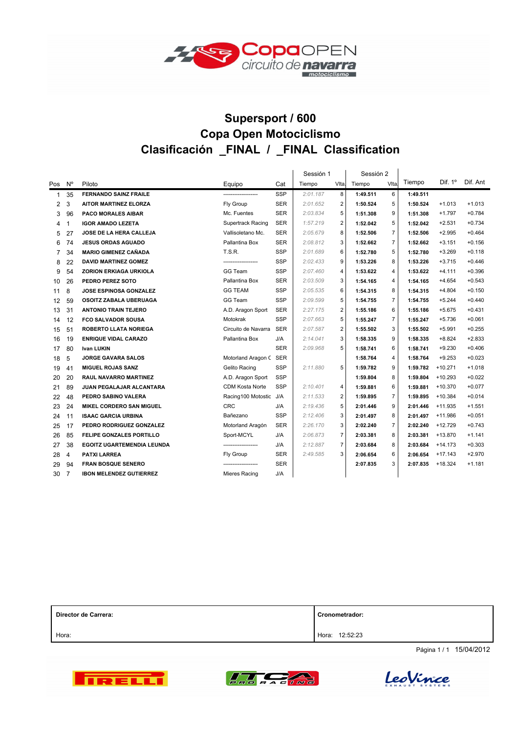

### **Supersport / 600 Clasificación \_FINAL / \_FINAL Classification Copa Open Motociclismo**

|                |                |                                   |                        |            | Sessión 1 |                | Sessión 2 |                |          |                |          |
|----------------|----------------|-----------------------------------|------------------------|------------|-----------|----------------|-----------|----------------|----------|----------------|----------|
| Pos            | $N^{\circ}$    | Piloto                            | Equipo                 | Cat        | Tiempo    | VIta.          | Tiempo    | Vlta.          | Tiempo   | Dif. $1^\circ$ | Dif. Ant |
| 1              | 35             | <b>FERNANDO SAINZ FRAILE</b>      |                        | <b>SSP</b> | 2:01.187  | 8              | 1:49.511  | 6              | 1:49.511 |                |          |
| 2              | 3              | <b>AITOR MARTINEZ ELORZA</b>      | Fly Group              | <b>SER</b> | 2:01.652  | 2              | 1:50.524  | 5              | 1:50.524 | $+1.013$       | $+1.013$ |
| 3              | 96             | <b>PACO MORALES AIBAR</b>         | Mc. Fuentes            | <b>SER</b> | 2:03.834  | 5              | 1:51.308  | 9              | 1:51.308 | $+1.797$       | $+0.784$ |
| 4              | $\mathbf{1}$   | <b>IGOR AMADO LEZETA</b>          | Supertrack Racing      | <b>SER</b> | 1:57.219  | $\overline{2}$ | 1:52.042  | 5              | 1:52.042 | $+2.531$       | $+0.734$ |
| 5              | 27             | <b>JOSE DE LA HERA CALLEJA</b>    | Vallisoletano Mc.      | <b>SER</b> | 2:05.679  | 8              | 1:52.506  | $\overline{7}$ | 1:52.506 | $+2.995$       | $+0.464$ |
| 6              | 74             | <b>JESUS ORDAS AGUADO</b>         | Pallantina Box         | <b>SER</b> | 2:08.812  | 3              | 1:52.662  | $\overline{7}$ | 1:52.662 | $+3.151$       | $+0.156$ |
| $\overline{7}$ | 34             | <b>MARIO GIMENEZ CAÑADA</b>       | <b>T.S.R.</b>          | <b>SSP</b> | 2:01.689  | 6              | 1:52.780  | 5              | 1:52.780 | $+3.269$       | $+0.118$ |
| 8              | 22             | <b>DAVID MARTINEZ GOMEZ</b>       |                        | <b>SSP</b> | 2:02.433  | 9              | 1:53.226  | 8              | 1:53.226 | $+3.715$       | $+0.446$ |
| 9              | 54             | <b>ZORION ERKIAGA URKIOLA</b>     | GG Team                | <b>SSP</b> | 2:07.460  | 4              | 1:53.622  | 4              | 1:53.622 | $+4.111$       | $+0.396$ |
| 10             | 26             | PEDRO PEREZ SOTO                  | Pallantina Box         | <b>SER</b> | 2:03.509  | 3              | 1:54.165  | 4              | 1:54.165 | $+4.654$       | $+0.543$ |
| 11             | 8              | <b>JOSE ESPINOSA GONZALEZ</b>     | <b>GG TEAM</b>         | <b>SSP</b> | 2:05.535  | 6              | 1:54.315  | 8              | 1:54.315 | $+4.804$       | $+0.150$ |
| 12             | 59             | OSOITZ ZABALA UBERUAGA            | GG Team                | <b>SSP</b> | 2:09.599  | 5              | 1:54.755  | $\overline{7}$ | 1:54.755 | $+5.244$       | $+0.440$ |
| 13             | 31             | <b>ANTONIO TRAIN TEJERO</b>       | A.D. Aragon Sport      | <b>SER</b> | 2:27.175  | $\overline{2}$ | 1:55.186  | 6              | 1:55.186 | $+5.675$       | $+0.431$ |
| 14             | 12             | <b>FCO SALVADOR SOUSA</b>         | Motokrak               | SSP        | 2:07.663  | 5              | 1:55.247  | $\overline{7}$ | 1:55.247 | $+5.736$       | $+0.061$ |
| 15             | 51             | <b>ROBERTO LLATA NORIEGA</b>      | Circuito de Navarra    | <b>SER</b> | 2:07.587  | $\overline{2}$ | 1:55.502  | 3              | 1:55.502 | $+5.991$       | $+0.255$ |
| 16             | 19             | <b>ENRIQUE VIDAL CARAZO</b>       | Pallantina Box         | J/A        | 2:14.041  | 3              | 1:58.335  | 9              | 1:58.335 | $+8.824$       | $+2.833$ |
| 17             | 80             | <b>Ivan LUKIN</b>                 |                        | <b>SER</b> | 2:09.968  | 5              | 1:58.741  | 6              | 1:58.741 | $+9.230$       | $+0.406$ |
| 18             | 5              | <b>JORGE GAVARA SALOS</b>         | Motorland Aragon C     | SER        |           |                | 1:58.764  | 4              | 1:58.764 | $+9.253$       | $+0.023$ |
| 19             | 41             | <b>MIGUEL ROJAS SANZ</b>          | Gelito Racing          | <b>SSP</b> | 2:11.880  | 5              | 1:59.782  | 9              | 1:59.782 | $+10.271$      | $+1.018$ |
| 20             | 20             | <b>RAUL NAVARRO MARTINEZ</b>      | A.D. Aragon Sport      | <b>SSP</b> |           |                | 1:59.804  | 8              | 1:59.804 | $+10.293$      | $+0.022$ |
| 21             | 89             | JUAN PEGALAJAR ALCANTARA          | <b>CDM Kosta Norte</b> | SSP        | 2:10.401  | 4              | 1:59.881  | 6              | 1:59.881 | $+10.370$      | $+0.077$ |
| 22             | 48             | PEDRO SABINO VALERA               | Racing100 Motostic J/A |            | 2:11.533  | $\overline{2}$ | 1:59.895  | $\overline{7}$ | 1:59.895 | $+10.384$      | $+0.014$ |
| 23             | 24             | <b>MIKEL CORDERO SAN MIGUEL</b>   | <b>CRC</b>             | J/A        | 2:19.436  | 5              | 2:01.446  | 9              | 2:01.446 | $+11.935$      | $+1.551$ |
| 24             | 11             | <b>ISAAC GARCIA URBINA</b>        | Bañezano               | <b>SSP</b> | 2:12.406  | 3              | 2:01.497  | 8              | 2:01.497 | +11.986        | $+0.051$ |
| 25             | 17             | PEDRO RODRIGUEZ GONZALEZ          | Motorland Aragón       | <b>SER</b> | 2:26.170  | 3              | 2:02.240  | $\overline{7}$ | 2:02.240 | $+12.729$      | $+0.743$ |
| 26             | 85             | FELIPE GONZALES PORTILLO          | Sport-MCYL             | J/A        | 2:06.873  | $\overline{7}$ | 2:03.381  | 8              | 2:03.381 | $+13.870$      | $+1.141$ |
| 27             | 38             | <b>EGOITZ UGARTEMENDIA LEUNDA</b> |                        | J/A        | 2:12.887  | $\overline{7}$ | 2:03.684  | 8              | 2:03.684 | $+14.173$      | $+0.303$ |
| 28             | $\overline{4}$ | <b>PATXI LARREA</b>               | Fly Group              | <b>SER</b> | 2:49.585  | 3              | 2:06.654  | 6              | 2:06.654 | $+17.143$      | $+2.970$ |
| 29             | 94             | <b>FRAN BOSQUE SENERO</b>         |                        | <b>SER</b> |           |                | 2:07.835  | 3              | 2:07.835 | $+18.324$      | $+1.181$ |
| 30             | $\overline{7}$ | <b>IBON MELENDEZ GUTIERREZ</b>    | Mieres Racing          | J/A        |           |                |           |                |          |                |          |

| Director de Carrera: | Cronometrador:    |  |  |  |  |
|----------------------|-------------------|--|--|--|--|
| Hora:                | 12:52:23<br>Hora: |  |  |  |  |

Página 1 / 1 15/04/2012





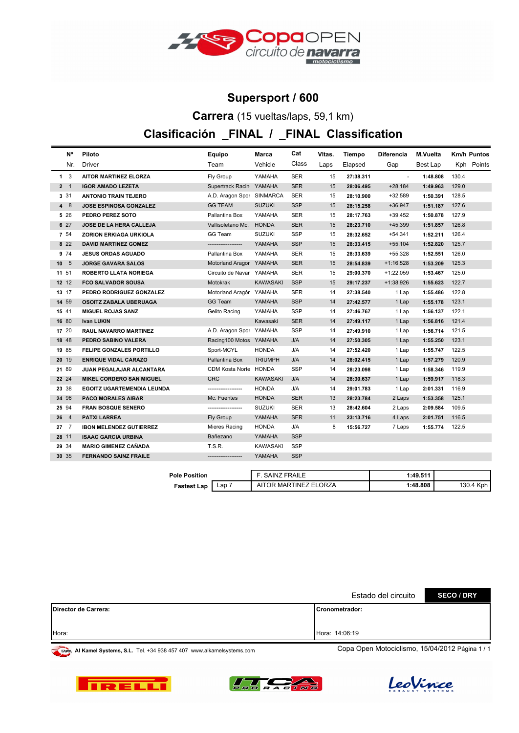

#### **Supersport / 600**

**Carrera** (15 vueltas/laps, 59,1 km)

### **Clasificación \_FINAL / \_FINAL Classification**

| <b>N°</b>            | Piloto                            | Equipo                    | Marca           | Cat        | VItas. | Tiempo    | <b>Diferencia</b> | M.Vuelta | <b>Km/h Puntos</b> |
|----------------------|-----------------------------------|---------------------------|-----------------|------------|--------|-----------|-------------------|----------|--------------------|
| Nr.                  | <b>Driver</b>                     | Team                      | Vehicle         | Class      | Laps   | Elapsed   | Gap               | Best Lap | Kph Points         |
| $1 \quad 3$          | <b>AITOR MARTINEZ ELORZA</b>      | Fly Group                 | YAMAHA          | <b>SER</b> | 15     | 27:38.311 | $\omega$          | 1:48.808 | 130.4              |
| $2-1$                | <b>IGOR AMADO LEZETA</b>          | Supertrack Racin YAMAHA   |                 | <b>SER</b> | 15     | 28:06.495 | $+28.184$         | 1:49.963 | 129.0              |
| 3 3 1                | <b>ANTONIO TRAIN TEJERO</b>       | A.D. Aragon Spor SINMARCA |                 | <b>SER</b> | 15     | 28:10.900 | $+32.589$         | 1:50.391 | 128.5              |
| 4 8                  | <b>JOSE ESPINOSA GONZALEZ</b>     | <b>GG TEAM</b>            | <b>SUZUKI</b>   | <b>SSP</b> | 15     | 28:15.258 | $+36.947$         | 1:51.187 | 127.6              |
| 5 26                 | PEDRO PEREZ SOTO                  | Pallantina Box            | YAMAHA          | <b>SER</b> | 15     | 28:17.763 | +39.452           | 1:50.878 | 127.9              |
| 6 27                 | JOSE DE LA HERA CALLEJA           | Vallisoletano Mc.         | <b>HONDA</b>    | <b>SER</b> | 15     | 28:23.710 | +45.399           | 1:51.857 | 126.8              |
| 7 54                 | ZORION ERKIAGA URKIOLA            | GG Team                   | <b>SUZUKI</b>   | <b>SSP</b> | 15     | 28:32.652 | $+54.341$         | 1:52.211 | 126.4              |
| 8 2 2                | <b>DAVID MARTINEZ GOMEZ</b>       | ------------------        | YAMAHA          | <b>SSP</b> | 15     | 28:33.415 | $+55.104$         | 1:52.820 | 125.7              |
| 9 74                 | <b>JESUS ORDAS AGUADO</b>         | Pallantina Box            | YAMAHA          | <b>SER</b> | 15     | 28:33.639 | +55.328           | 1:52.551 | 126.0              |
| 10 <sub>5</sub>      | <b>JORGE GAVARA SALOS</b>         | Motorland Aragor YAMAHA   |                 | <b>SER</b> | 15     | 28:54.839 | $+1:16.528$       | 1:53.209 | 125.3              |
| 11 51                | ROBERTO LLATA NORIEGA             | Circuito de Navar YAMAHA  |                 | <b>SER</b> | 15     | 29:00.370 | $+1:22.059$       | 1:53.467 | 125.0              |
| 12 12                | <b>FCO SALVADOR SOUSA</b>         | Motokrak                  | KAWASAKI        | <b>SSP</b> | 15     | 29:17.237 | $+1:38.926$       | 1:55.623 | 122.7              |
| 13 17                | PEDRO RODRIGUEZ GONZALEZ          | Motorland Aragór YAMAHA   |                 | <b>SER</b> | 14     | 27:38.540 | 1 Lap             | 1:55.486 | 122.8              |
| 14 59                | OSOITZ ZABALA UBERUAGA            | GG Team                   | YAMAHA          | <b>SSP</b> | 14     | 27:42.577 | 1 Lap             | 1:55.178 | 123.1              |
| 15 41                | <b>MIGUEL ROJAS SANZ</b>          | Gelito Racing             | YAMAHA          | <b>SSP</b> | 14     | 27:46.767 | 1 Lap             | 1:56.137 | 122.1              |
| 16 80                | <b>Ivan LUKIN</b>                 |                           | Kawasaki        | <b>SER</b> | 14     | 27:49.117 | 1 Lap             | 1:56.816 | 121.4              |
| 17 20                | RAUL NAVARRO MARTINEZ             | A.D. Aragon Spor YAMAHA   |                 | <b>SSP</b> | 14     | 27:49.910 | 1 Lap             | 1:56.714 | 121.5              |
| 18 48                | PEDRO SABINO VALERA               | Racing100 Motos YAMAHA    |                 | J/A        | 14     | 27:50.305 | 1 Lap             | 1:55.250 | 123.1              |
| 19 85                | FELIPE GONZALES PORTILLO          | Sport-MCYL                | <b>HONDA</b>    | J/A        | 14     | 27:52.420 | 1 Lap             | 1:55.747 | 122.5              |
| 20 19                | <b>ENRIQUE VIDAL CARAZO</b>       | Pallantina Box            | <b>TRIUMPH</b>  | J/A        | 14     | 28:02.415 | 1 Lap             | 1:57.279 | 120.9              |
| 21 89                | JUAN PEGALAJAR ALCANTARA          | CDM Kosta Norte           | HONDA           | <b>SSP</b> | 14     | 28:23.098 | 1 Lap             | 1:58.346 | 119.9              |
| 22 24                | <b>MIKEL CORDERO SAN MIGUEL</b>   | <b>CRC</b>                | <b>KAWASAKI</b> | J/A        | 14     | 28:30.637 | 1 Lap             | 1:59.917 | 118.3              |
| 23 38                | <b>EGOITZ UGARTEMENDIA LEUNDA</b> |                           | <b>HONDA</b>    | J/A        | 14     | 29:01.783 | 1 Lap             | 2:01.331 | 116.9              |
| 24 96                | <b>PACO MORALES AIBAR</b>         | Mc. Fuentes               | <b>HONDA</b>    | <b>SER</b> | 13     | 28:23.784 | 2 Laps            | 1:53.358 | 125.1              |
| 25 94                | <b>FRAN BOSQUE SENERO</b>         | -------------------       | <b>SUZUKI</b>   | SER        | 13     | 28:42.604 | 2 Laps            | 2:09.584 | 109.5              |
| 26<br>$\overline{4}$ | <b>PATXI LARREA</b>               | Fly Group                 | YAMAHA          | <b>SER</b> | 11     | 23:13.716 | 4 Laps            | 2:01.751 | 116.5              |
| 27 <sub>7</sub>      | <b>IBON MELENDEZ GUTIERREZ</b>    | Mieres Racing             | <b>HONDA</b>    | J/A        | 8      | 15:56.727 | 7 Laps            | 1:55.774 | 122.5              |
| 28 11                | <b>ISAAC GARCIA URBINA</b>        | Bañezano                  | YAMAHA          | <b>SSP</b> |        |           |                   |          |                    |
| 29 34                | <b>MARIO GIMENEZ CAÑADA</b>       | T.S.R.                    | KAWASAKI        | <b>SSP</b> |        |           |                   |          |                    |
| 30 35                | <b>FERNANDO SAINZ FRAILE</b>      | -------------------       | YAMAHA          | <b>SSP</b> |        |           |                   |          |                    |

| <b>Pole Position</b> |     | . SAINZ FRAILE        | 1:49.511 |           |
|----------------------|-----|-----------------------|----------|-----------|
| Fastest Lap          | Lap | AITOR MARTINEZ ELORZA | 1:48.808 | 130.4 Kph |

|                      | Estado del circuito | <b>SECO / DRY</b> |
|----------------------|---------------------|-------------------|
| Director de Carrera: | ICronometrador:     |                   |
|                      |                     |                   |
| Hora:                | Hora: 14:06:19      |                   |